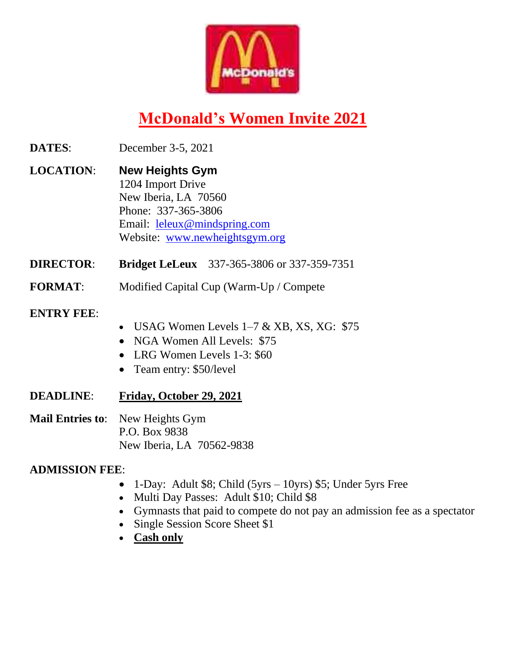

## **McDonald's Women Invite 2021**

**DATES**: December 3-5, 2021

- **LOCATION**: **New Heights Gym** 1204 Import Drive New Iberia, LA 70560 Phone: 337-365-3806 Email: [leleux@mindspring.com](mailto:leleux@mindspring.com) Website: [www.newheightsgym.org](http://www.newheightsgym.org/)
- **DIRECTOR**: **Bridget LeLeux** 337-365-3806 or 337-359-7351
- **FORMAT**: Modified Capital Cup (Warm-Up / Compete

**ENTRY FEE**:

- USAG Women Levels 1–7 & XB, XS, XG: \$75
- NGA Women All Levels: \$75
- LRG Women Levels 1-3: \$60
- Team entry: \$50/level
- **DEADLINE**: **Friday, October 29, 2021**
- **Mail Entries to**: New Heights Gym P.O. Box 9838 New Iberia, LA 70562-9838

## **ADMISSION FEE**:

- 1-Day: Adult \$8; Child (5yrs 10yrs) \$5; Under 5yrs Free
- Multi Day Passes: Adult \$10; Child \$8
- Gymnasts that paid to compete do not pay an admission fee as a spectator
- Single Session Score Sheet \$1
- **Cash only**